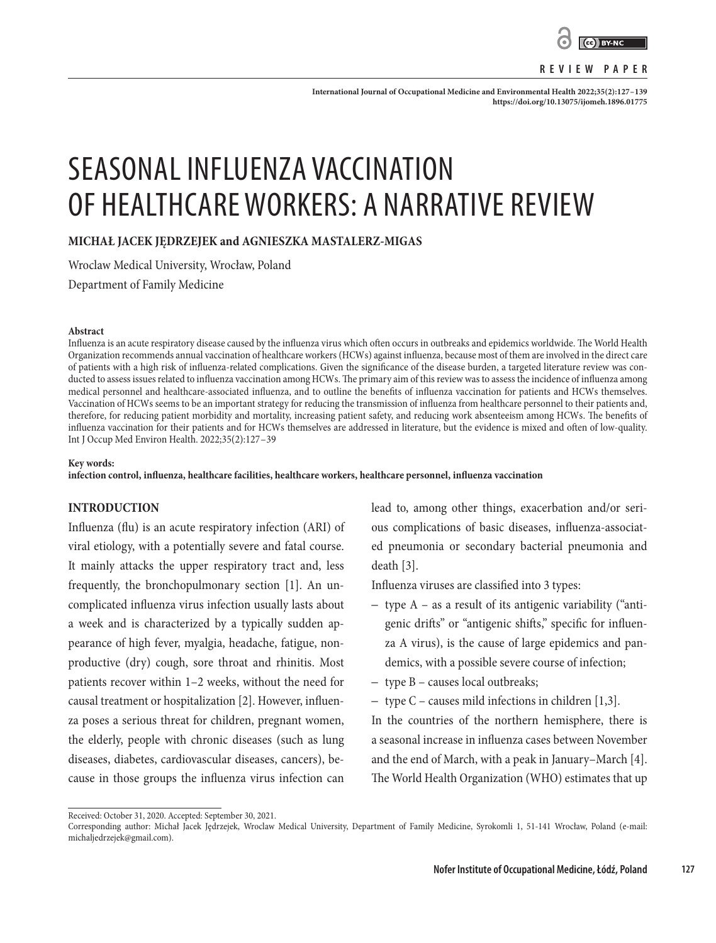

#### **REVIEW PAPER**

**International Journal of Occupational Medicine and Environmental Health 2022;35(2):127–139 <https://doi.org/10.13075/ijomeh.1896.01775>**

# SEASONAL INFLUENZA VACCINATION OF HEALTHCARE WORKERS: A NARRATIVE REVIEW

**MICHAŁ JACEK JĘDRZEJEK and AGNIESZKA MASTALERZ-MIGAS**

Wroclaw Medical University, Wrocław, Poland

Department of Family Medicine

#### **Abstract**

Influenza is an acute respiratory disease caused by the influenza virus which often occurs in outbreaks and epidemics worldwide. The World Health Organization recommends annual vaccination of healthcare workers (HCWs) against influenza, because most of them are involved in the direct care of patients with a high risk of influenza-related complications. Given the significance of the disease burden, a targeted literature review was conducted to assess issues related to influenza vaccination among HCWs. The primary aim of this review was to assess the incidence of influenza among medical personnel and healthcare-associated influenza, and to outline the benefits of influenza vaccination for patients and HCWs themselves. Vaccination of HCWs seems to be an important strategy for reducing the transmission of influenza from healthcare personnel to their patients and, therefore, for reducing patient morbidity and mortality, increasing patient safety, and reducing work absenteeism among HCWs. The benefits of influenza vaccination for their patients and for HCWs themselves are addressed in literature, but the evidence is mixed and often of low-quality. Int J Occup Med Environ Health. 2022;35(2):127–39

#### **Key words:**

**infection control, influenza, healthcare facilities, healthcare workers, healthcare personnel, influenza vaccination**

## **INTRODUCTION**

Influenza (flu) is an acute respiratory infection (ARI) of viral etiology, with a potentially severe and fatal course. It mainly attacks the upper respiratory tract and, less frequently, the bronchopulmonary section [1]. An uncomplicated influenza virus infection usually lasts about a week and is characterized by a typically sudden appearance of high fever, myalgia, headache, fatigue, nonproductive (dry) cough, sore throat and rhinitis. Most patients recover within 1–2 weeks, without the need for causal treatment or hospitalization [2]. However, influenza poses a serious threat for children, pregnant women, the elderly, people with chronic diseases (such as lung diseases, diabetes, cardiovascular diseases, cancers), because in those groups the influenza virus infection can lead to, among other things, exacerbation and/or serious complications of basic diseases, influenza-associated pneumonia or secondary bacterial pneumonia and death [3].

Influenza viruses are classified into 3 types:

- type A as a result of its antigenic variability ("antigenic drifts" or "antigenic shifts," specific for influenza A virus), is the cause of large epidemics and pandemics, with a possible severe course of infection;
- type B causes local outbreaks;
- type C causes mild infections in children [1,3].
- In the countries of the northern hemisphere, there is a seasonal increase in influenza cases between November and the end of March, with a peak in January–March [4]. The World Health Organization (WHO) estimates that up

Received: October 31, 2020. Accepted: September 30, 2021.

Corresponding author: Michał Jacek Jędrzejek, Wroclaw Medical University, Department of Family Medicine, Syrokomli 1, 51-141 Wrocław, Poland (e-mail: michaljedrzejek@gmail.com).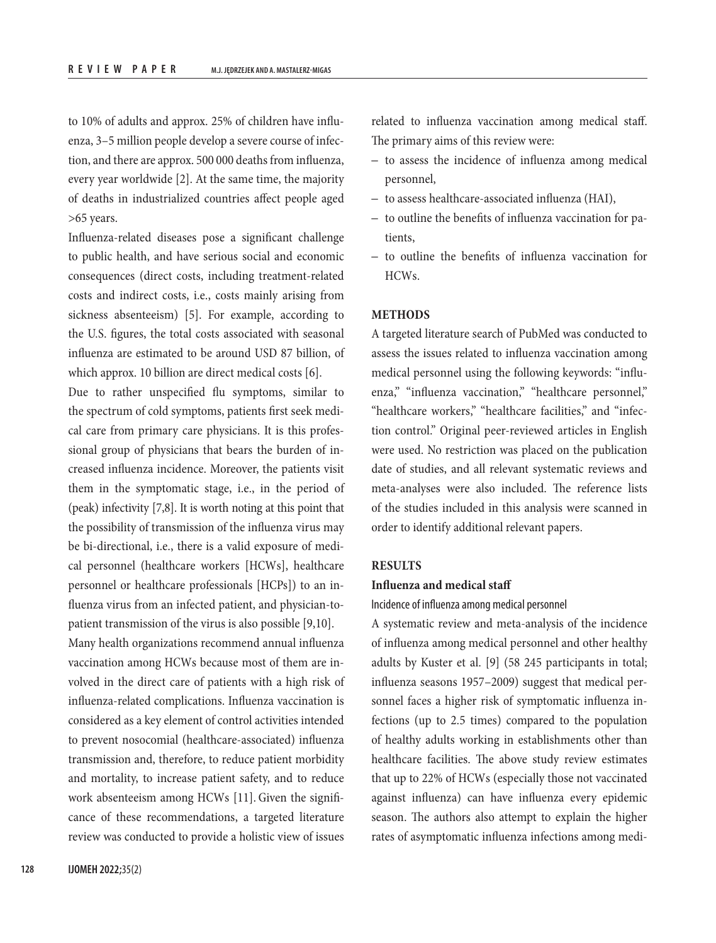to 10% of adults and approx. 25% of children have influenza, 3–5 million people develop a severe course of infection, and there are approx. 500 000 deaths from influenza, every year worldwide [2]. At the same time, the majority of deaths in industrialized countries affect people aged >65 years.

Influenza-related diseases pose a significant challenge to public health, and have serious social and economic consequences (direct costs, including treatment-related costs and indirect costs, i.e., costs mainly arising from sickness absenteeism) [5]. For example, according to the U.S. figures, the total costs associated with seasonal influenza are estimated to be around USD 87 billion, of which approx. 10 billion are direct medical costs [6].

Due to rather unspecified flu symptoms, similar to the spectrum of cold symptoms, patients first seek medical care from primary care physicians. It is this professional group of physicians that bears the burden of increased influenza incidence. Moreover, the patients visit them in the symptomatic stage, i.e., in the period of (peak) infectivity [7,8]. It is worth noting at this point that the possibility of transmission of the influenza virus may be bi-directional, i.e., there is a valid exposure of medical personnel (healthcare workers [HCWs], healthcare personnel or healthcare professionals [HCPs]) to an influenza virus from an infected patient, and physician-topatient transmission of the virus is also possible [9,10].

Many health organizations recommend annual influenza vaccination among HCWs because most of them are involved in the direct care of patients with a high risk of influenza-related complications. Influenza vaccination is considered as a key element of control activities intended to prevent nosocomial (healthcare-associated) influenza transmission and, therefore, to reduce patient morbidity and mortality, to increase patient safety, and to reduce work absenteeism among HCWs [11]. Given the significance of these recommendations, a targeted literature review was conducted to provide a holistic view of issues related to influenza vaccination among medical staff. The primary aims of this review were:

- to assess the incidence of influenza among medical personnel,
- to assess healthcare-associated influenza (HAI),
- to outline the benefits of influenza vaccination for patients,
- to outline the benefits of influenza vaccination for HCWs.

## **METHODS**

A targeted literature search of PubMed was conducted to assess the issues related to influenza vaccination among medical personnel using the following keywords: "influenza," "influenza vaccination," "healthcare personnel," "healthcare workers," "healthcare facilities," and "infection control." Original peer-reviewed articles in English were used. No restriction was placed on the publication date of studies, and all relevant systematic reviews and meta-analyses were also included. The reference lists of the studies included in this analysis were scanned in order to identify additional relevant papers.

#### **RESULTS**

#### **Influenza and medical staff**

#### Incidence of influenza among medical personnel

A systematic review and meta-analysis of the incidence of influenza among medical personnel and other healthy adults by Kuster et al. [9] (58 245 participants in total; influenza seasons 1957–2009) suggest that medical personnel faces a higher risk of symptomatic influenza infections (up to 2.5 times) compared to the population of healthy adults working in establishments other than healthcare facilities. The above study review estimates that up to 22% of HCWs (especially those not vaccinated against influenza) can have influenza every epidemic season. The authors also attempt to explain the higher rates of asymptomatic influenza infections among medi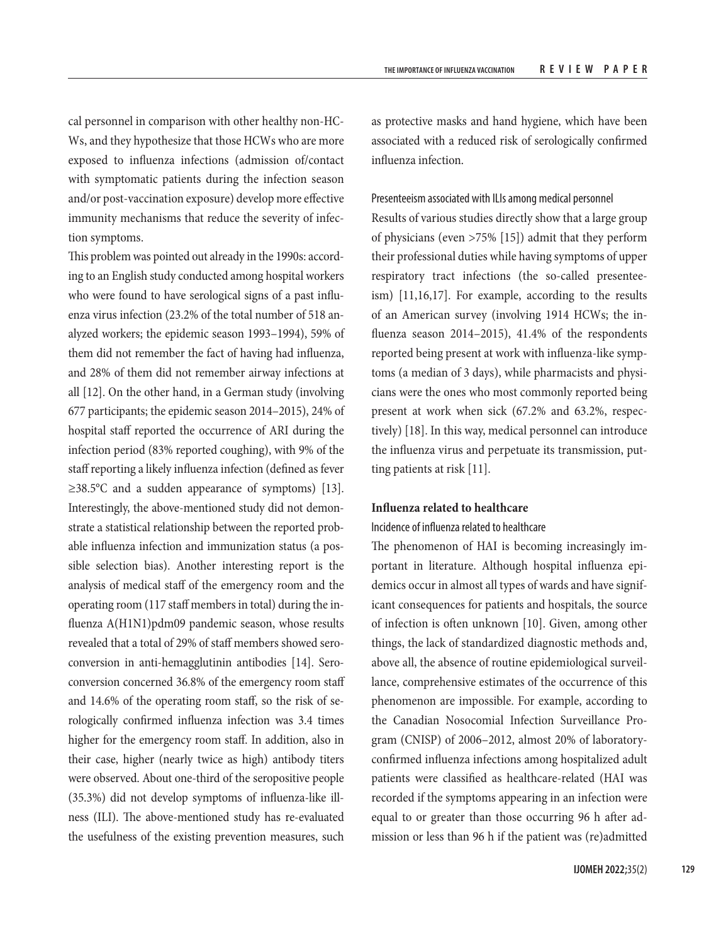cal personnel in comparison with other healthy non-HC-Ws, and they hypothesize that those HCWs who are more exposed to influenza infections (admission of/contact with symptomatic patients during the infection season and/or post-vaccination exposure) develop more effective immunity mechanisms that reduce the severity of infection symptoms.

This problem was pointed out already in the 1990s: according to an English study conducted among hospital workers who were found to have serological signs of a past influenza virus infection (23.2% of the total number of 518 analyzed workers; the epidemic season 1993–1994), 59% of them did not remember the fact of having had influenza, and 28% of them did not remember airway infections at all [12]. On the other hand, in a German study (involving 677 participants; the epidemic season 2014–2015), 24% of hospital staff reported the occurrence of ARI during the infection period (83% reported coughing), with 9% of the staff reporting a likely influenza infection (defined as fever ≥38.5°C and a sudden appearance of symptoms) [13]. Interestingly, the above-mentioned study did not demonstrate a statistical relationship between the reported probable influenza infection and immunization status (a possible selection bias). Another interesting report is the analysis of medical staff of the emergency room and the operating room (117 staff members in total) during the influenza A(H1N1)pdm09 pandemic season, whose results revealed that a total of 29% of staff members showed seroconversion in anti-hemagglutinin antibodies [14]. Seroconversion concerned 36.8% of the emergency room staff and 14.6% of the operating room staff, so the risk of serologically confirmed influenza infection was 3.4 times higher for the emergency room staff. In addition, also in their case, higher (nearly twice as high) antibody titers were observed. About one-third of the seropositive people (35.3%) did not develop symptoms of influenza-like illness (ILI). The above-mentioned study has re-evaluated the usefulness of the existing prevention measures, such as protective masks and hand hygiene, which have been associated with a reduced risk of serologically confirmed influenza infection.

#### Presenteeism associated with ILIs among medical personnel

Results of various studies directly show that a large group of physicians (even >75% [15]) admit that they perform their professional duties while having symptoms of upper respiratory tract infections (the so-called presenteeism) [11,16,17]. For example, according to the results of an American survey (involving 1914 HCWs; the influenza season 2014–2015), 41.4% of the respondents reported being present at work with influenza-like symptoms (a median of 3 days), while pharmacists and physicians were the ones who most commonly reported being present at work when sick (67.2% and 63.2%, respectively) [18]. In this way, medical personnel can introduce the influenza virus and perpetuate its transmission, putting patients at risk [11].

# **Influenza related to healthcare**

#### Incidence of influenza related to healthcare

The phenomenon of HAI is becoming increasingly important in literature. Although hospital influenza epidemics occur in almost all types of wards and have significant consequences for patients and hospitals, the source of infection is often unknown [10]. Given, among other things, the lack of standardized diagnostic methods and, above all, the absence of routine epidemiological surveillance, comprehensive estimates of the occurrence of this phenomenon are impossible. For example, according to the Canadian Nosocomial Infection Surveillance Program (CNISP) of 2006–2012, almost 20% of laboratoryconfirmed influenza infections among hospitalized adult patients were classified as healthcare-related (HAI was recorded if the symptoms appearing in an infection were equal to or greater than those occurring 96 h after admission or less than 96 h if the patient was (re)admitted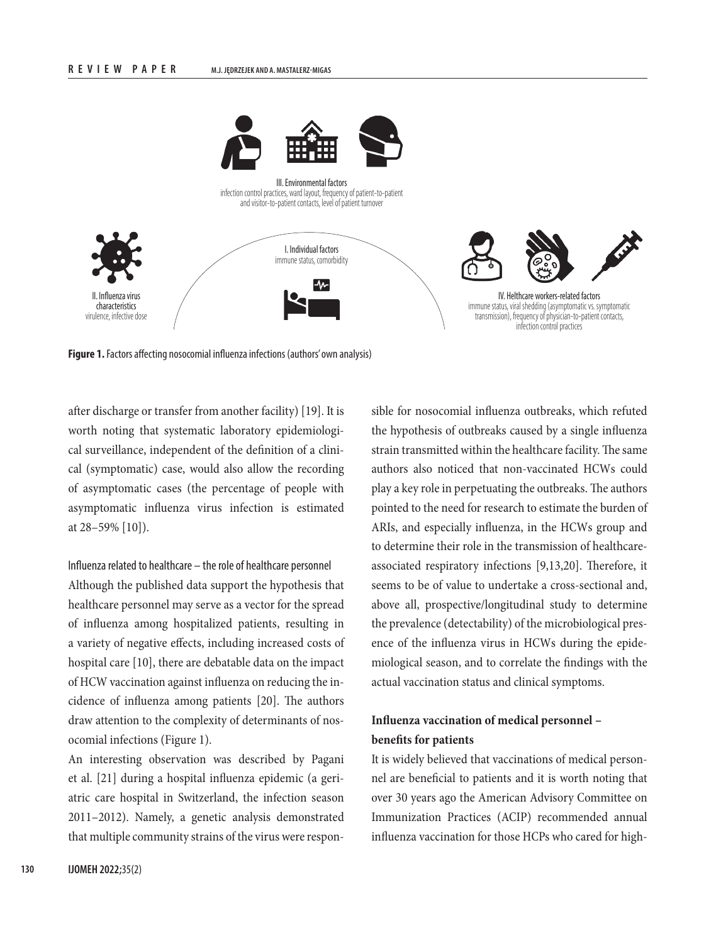

**Figure 1.** Factors affecting nosocomial influenza infections (authors' own analysis)

after discharge or transfer from another facility) [19]. It is worth noting that systematic laboratory epidemiological surveillance, independent of the definition of a clinical (symptomatic) case, would also allow the recording of asymptomatic cases (the percentage of people with asymptomatic influenza virus infection is estimated at 28–59% [10]).

## Influenza related to healthcare – the role of healthcare personnel

Although the published data support the hypothesis that healthcare personnel may serve as a vector for the spread of influenza among hospitalized patients, resulting in a variety of negative effects, including increased costs of hospital care [10], there are debatable data on the impact of HCW vaccination against influenza on reducing the incidence of influenza among patients [20]. The authors draw attention to the complexity of determinants of nosocomial infections (Figure 1).

An interesting observation was described by Pagani et al. [21] during a hospital influenza epidemic (a geriatric care hospital in Switzerland, the infection season 2011–2012). Namely, a genetic analysis demonstrated that multiple community strains of the virus were respon-

sible for nosocomial influenza outbreaks, which refuted the hypothesis of outbreaks caused by a single influenza strain transmitted within the healthcare facility. The same authors also noticed that non-vaccinated HCWs could play a key role in perpetuating the outbreaks. The authors pointed to the need for research to estimate the burden of ARIs, and especially influenza, in the HCWs group and to determine their role in the transmission of healthcareassociated respiratory infections [9,13,20]. Therefore, it seems to be of value to undertake a cross-sectional and, above all, prospective/longitudinal study to determine the prevalence (detectability) of the microbiological presence of the influenza virus in HCWs during the epidemiological season, and to correlate the findings with the actual vaccination status and clinical symptoms.

# **Influenza vaccination of medical personnel – benefits for patients**

It is widely believed that vaccinations of medical personnel are beneficial to patients and it is worth noting that over 30 years ago the American Advisory Committee on Immunization Practices (ACIP) recommended annual influenza vaccination for those HCPs who cared for high-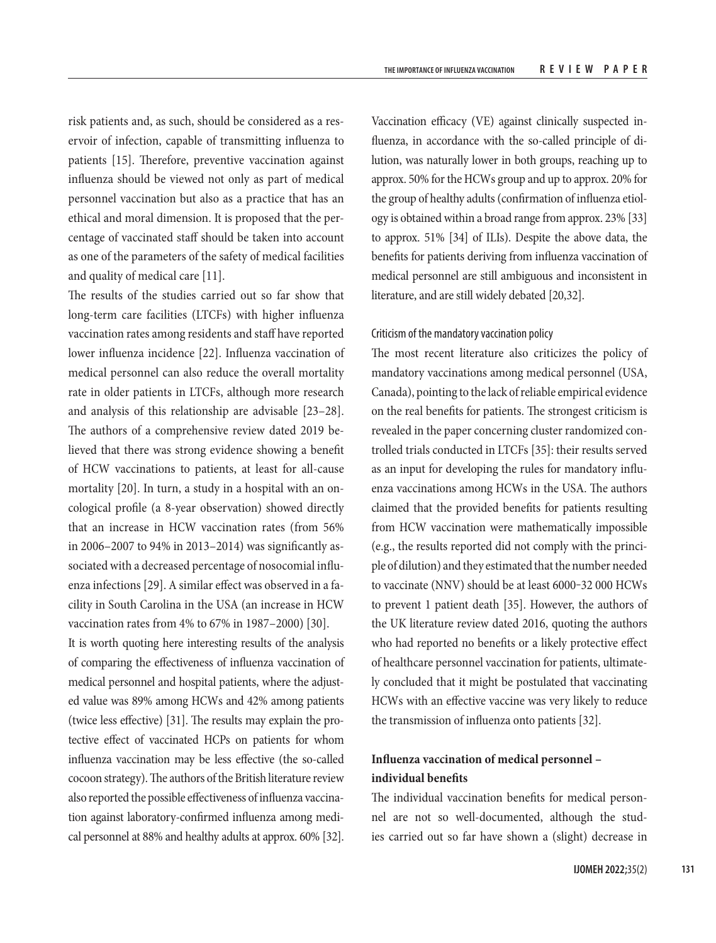risk patients and, as such, should be considered as a reservoir of infection, capable of transmitting influenza to patients [15]. Therefore, preventive vaccination against influenza should be viewed not only as part of medical personnel vaccination but also as a practice that has an ethical and moral dimension. It is proposed that the percentage of vaccinated staff should be taken into account as one of the parameters of the safety of medical facilities and quality of medical care [11].

The results of the studies carried out so far show that long-term care facilities (LTCFs) with higher influenza vaccination rates among residents and staff have reported lower influenza incidence [22]. Influenza vaccination of medical personnel can also reduce the overall mortality rate in older patients in LTCFs, although more research and analysis of this relationship are advisable [23–28]. The authors of a comprehensive review dated 2019 believed that there was strong evidence showing a benefit of HCW vaccinations to patients, at least for all-cause mortality [20]. In turn, a study in a hospital with an oncological profile (a 8-year observation) showed directly that an increase in HCW vaccination rates (from 56% in 2006–2007 to 94% in 2013–2014) was significantly associated with a decreased percentage of nosocomial influenza infections [29]. A similar effect was observed in a facility in South Carolina in the USA (an increase in HCW vaccination rates from 4% to 67% in 1987–2000) [30].

It is worth quoting here interesting results of the analysis of comparing the effectiveness of influenza vaccination of medical personnel and hospital patients, where the adjusted value was 89% among HCWs and 42% among patients (twice less effective) [31]. The results may explain the protective effect of vaccinated HCPs on patients for whom influenza vaccination may be less effective (the so-called cocoon strategy). The authors of the British literature review also reported the possible effectiveness of influenza vaccination against laboratory-confirmed influenza among medical personnel at 88% and healthy adults at approx. 60% [32].

Vaccination efficacy (VE) against clinically suspected influenza, in accordance with the so-called principle of dilution, was naturally lower in both groups, reaching up to approx. 50% for the HCWs group and up to approx. 20% for the group of healthy adults (confirmation of influenza etiology is obtained within a broad range from approx. 23% [33] to approx. 51% [34] of ILIs). Despite the above data, the benefits for patients deriving from influenza vaccination of medical personnel are still ambiguous and inconsistent in literature, and are still widely debated [20,32].

#### Criticism of the mandatory vaccination policy

The most recent literature also criticizes the policy of mandatory vaccinations among medical personnel (USA, Canada), pointing to the lack of reliable empirical evidence on the real benefits for patients. The strongest criticism is revealed in the paper concerning cluster randomized controlled trials conducted in LTCFs [35]: their results served as an input for developing the rules for mandatory influenza vaccinations among HCWs in the USA. The authors claimed that the provided benefits for patients resulting from HCW vaccination were mathematically impossible (e.g., the results reported did not comply with the principle of dilution) and they estimated that the number needed to vaccinate (NNV) should be at least 6000-32 000 HCWs to prevent 1 patient death [35]. However, the authors of the UK literature review dated 2016, quoting the authors who had reported no benefits or a likely protective effect of healthcare personnel vaccination for patients, ultimately concluded that it might be postulated that vaccinating HCWs with an effective vaccine was very likely to reduce the transmission of influenza onto patients [32].

# **Influenza vaccination of medical personnel – individual benefits**

The individual vaccination benefits for medical personnel are not so well-documented, although the studies carried out so far have shown a (slight) decrease in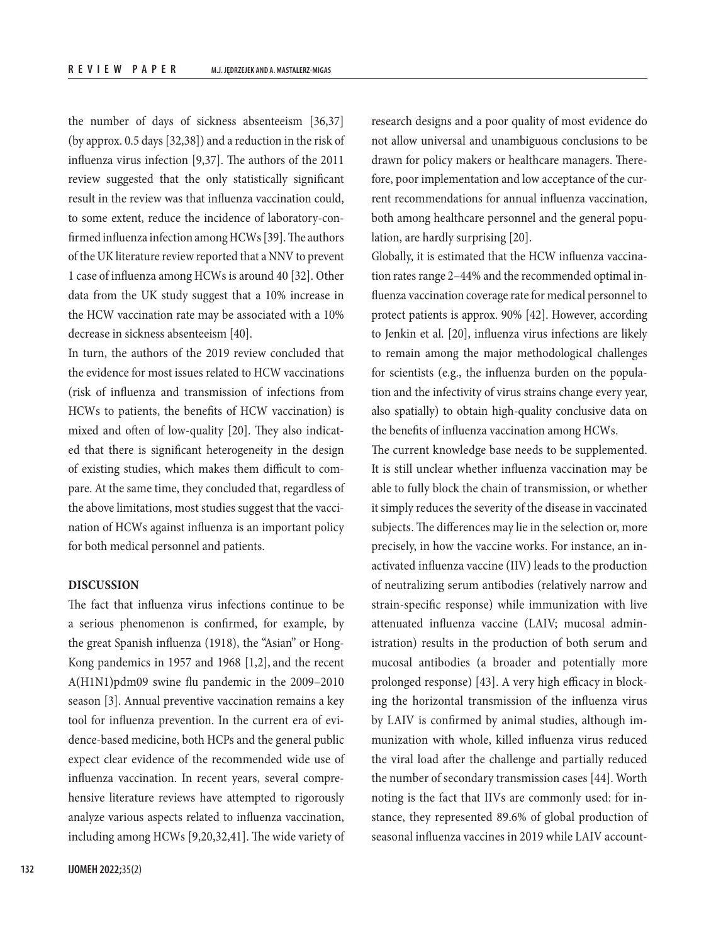the number of days of sickness absenteeism [36,37] (by approx. 0.5 days [32,38]) and a reduction in the risk of influenza virus infection [9,37]. The authors of the 2011 review suggested that the only statistically significant result in the review was that influenza vaccination could, to some extent, reduce the incidence of laboratory-confirmed influenza infection among HCWs [39]. The authors of the UK literature review reported that a NNV to prevent 1 case of influenza among HCWs is around 40 [32]. Other data from the UK study suggest that a 10% increase in the HCW vaccination rate may be associated with a 10% decrease in sickness absenteeism [40].

In turn, the authors of the 2019 review concluded that the evidence for most issues related to HCW vaccinations (risk of influenza and transmission of infections from HCWs to patients, the benefits of HCW vaccination) is mixed and often of low-quality [20]. They also indicated that there is significant heterogeneity in the design of existing studies, which makes them difficult to compare. At the same time, they concluded that, regardless of the above limitations, most studies suggest that the vaccination of HCWs against influenza is an important policy for both medical personnel and patients.

### **DISCUSSION**

The fact that influenza virus infections continue to be a serious phenomenon is confirmed, for example, by the great Spanish influenza (1918), the "Asian" or Hong-Kong pandemics in 1957 and 1968 [1,2], and the recent A(H1N1)pdm09 swine flu pandemic in the 2009–2010 season [3]. Annual preventive vaccination remains a key tool for influenza prevention. In the current era of evidence-based medicine, both HCPs and the general public expect clear evidence of the recommended wide use of influenza vaccination. In recent years, several comprehensive literature reviews have attempted to rigorously analyze various aspects related to influenza vaccination, including among HCWs [9,20,32,41]. The wide variety of

research designs and a poor quality of most evidence do not allow universal and unambiguous conclusions to be drawn for policy makers or healthcare managers. Therefore, poor implementation and low acceptance of the current recommendations for annual influenza vaccination, both among healthcare personnel and the general population, are hardly surprising [20].

Globally, it is estimated that the HCW influenza vaccination rates range 2–44% and the recommended optimal influenza vaccination coverage rate for medical personnel to protect patients is approx. 90% [42]. However, according to Jenkin et al. [20], influenza virus infections are likely to remain among the major methodological challenges for scientists (e.g., the influenza burden on the population and the infectivity of virus strains change every year, also spatially) to obtain high-quality conclusive data on the benefits of influenza vaccination among HCWs.

The current knowledge base needs to be supplemented. It is still unclear whether influenza vaccination may be able to fully block the chain of transmission, or whether it simply reduces the severity of the disease in vaccinated subjects. The differences may lie in the selection or, more precisely, in how the vaccine works. For instance, an inactivated influenza vaccine (IIV) leads to the production of neutralizing serum antibodies (relatively narrow and strain-specific response) while immunization with live attenuated influenza vaccine (LAIV; mucosal administration) results in the production of both serum and mucosal antibodies (a broader and potentially more prolonged response) [43]. A very high efficacy in blocking the horizontal transmission of the influenza virus by LAIV is confirmed by animal studies, although immunization with whole, killed influenza virus reduced the viral load after the challenge and partially reduced the number of secondary transmission cases [44]. Worth noting is the fact that IIVs are commonly used: for instance, they represented 89.6% of global production of seasonal influenza vaccines in 2019 while LAIV account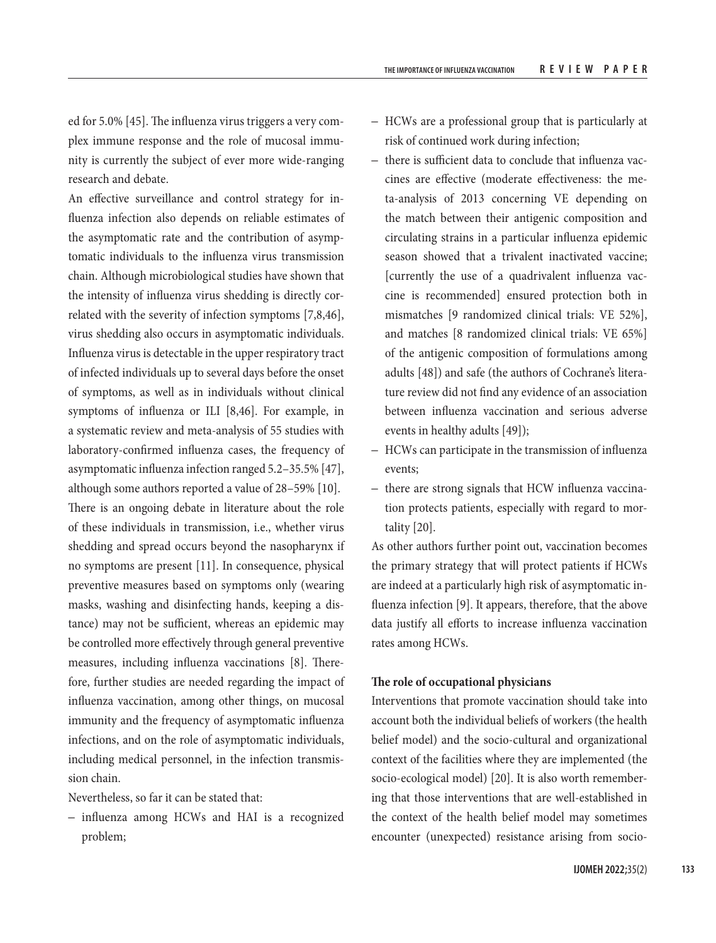ed for 5.0% [45]. The influenza virus triggers a very complex immune response and the role of mucosal immunity is currently the subject of ever more wide-ranging research and debate.

An effective surveillance and control strategy for influenza infection also depends on reliable estimates of the asymptomatic rate and the contribution of asymptomatic individuals to the influenza virus transmission chain. Although microbiological studies have shown that the intensity of influenza virus shedding is directly correlated with the severity of infection symptoms [7,8,46], virus shedding also occurs in asymptomatic individuals. Influenza virus is detectable in the upper respiratory tract of infected individuals up to several days before the onset of symptoms, as well as in individuals without clinical symptoms of influenza or ILI [8,46]. For example, in a systematic review and meta-analysis of 55 studies with laboratory-confirmed influenza cases, the frequency of asymptomatic influenza infection ranged 5.2–35.5% [47], although some authors reported a value of 28–59% [10]. There is an ongoing debate in literature about the role of these individuals in transmission, i.e., whether virus shedding and spread occurs beyond the nasopharynx if no symptoms are present [11]. In consequence, physical preventive measures based on symptoms only (wearing masks, washing and disinfecting hands, keeping a distance) may not be sufficient, whereas an epidemic may be controlled more effectively through general preventive measures, including influenza vaccinations [8]. Therefore, further studies are needed regarding the impact of influenza vaccination, among other things, on mucosal immunity and the frequency of asymptomatic influenza infections, and on the role of asymptomatic individuals, including medical personnel, in the infection transmission chain.

Nevertheless, so far it can be stated that:

– influenza among HCWs and HAI is a recognized problem;

- HCWs are a professional group that is particularly at risk of continued work during infection;
- there is sufficient data to conclude that influenza vaccines are effective (moderate effectiveness: the meta-analysis of 2013 concerning VE depending on the match between their antigenic composition and circulating strains in a particular influenza epidemic season showed that a trivalent inactivated vaccine; [currently the use of a quadrivalent influenza vaccine is recommended] ensured protection both in mismatches [9 randomized clinical trials: VE 52%], and matches [8 randomized clinical trials: VE 65%] of the antigenic composition of formulations among adults [48]) and safe (the authors of Cochrane's literature review did not find any evidence of an association between influenza vaccination and serious adverse events in healthy adults [49]);
- HCWs can participate in the transmission of influenza events;
- there are strong signals that HCW influenza vaccination protects patients, especially with regard to mortality [20].

As other authors further point out, vaccination becomes the primary strategy that will protect patients if HCWs are indeed at a particularly high risk of asymptomatic influenza infection [9]. It appears, therefore, that the above data justify all efforts to increase influenza vaccination rates among HCWs.

#### **The role of occupational physicians**

Interventions that promote vaccination should take into account both the individual beliefs of workers (the health belief model) and the socio-cultural and organizational context of the facilities where they are implemented (the socio-ecological model) [20]. It is also worth remembering that those interventions that are well-established in the context of the health belief model may sometimes encounter (unexpected) resistance arising from socio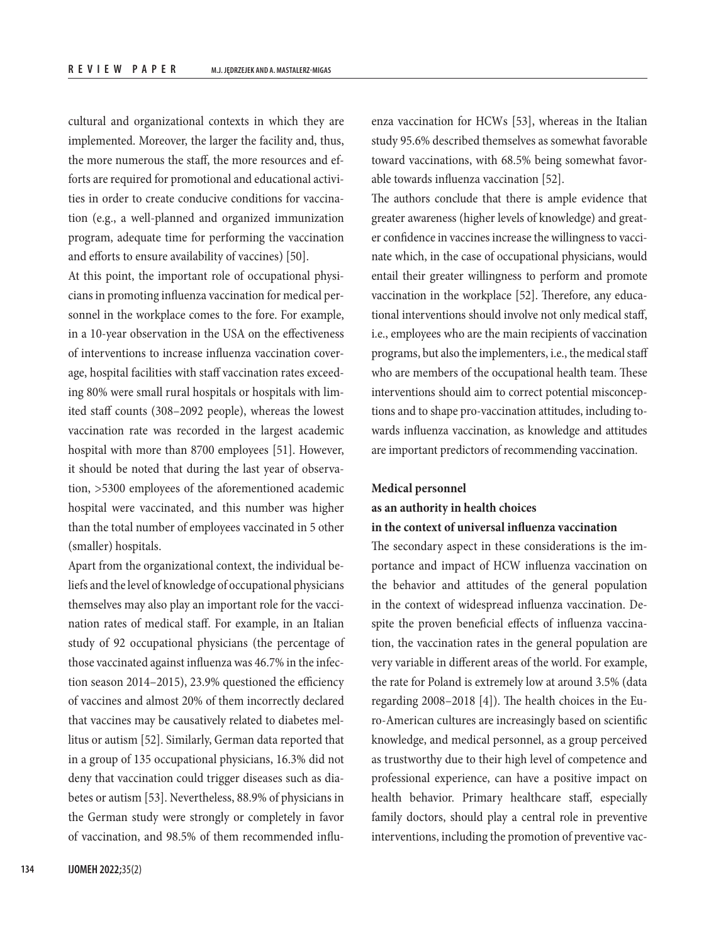cultural and organizational contexts in which they are implemented. Moreover, the larger the facility and, thus, the more numerous the staff, the more resources and efforts are required for promotional and educational activities in order to create conducive conditions for vaccination (e.g., a well-planned and organized immunization program, adequate time for performing the vaccination and efforts to ensure availability of vaccines) [50].

At this point, the important role of occupational physicians in promoting influenza vaccination for medical personnel in the workplace comes to the fore. For example, in a 10-year observation in the USA on the effectiveness of interventions to increase influenza vaccination coverage, hospital facilities with staff vaccination rates exceeding 80% were small rural hospitals or hospitals with limited staff counts (308–2092 people), whereas the lowest vaccination rate was recorded in the largest academic hospital with more than 8700 employees [51]. However, it should be noted that during the last year of observation, >5300 employees of the aforementioned academic hospital were vaccinated, and this number was higher than the total number of employees vaccinated in 5 other (smaller) hospitals.

Apart from the organizational context, the individual beliefs and the level of knowledge of occupational physicians themselves may also play an important role for the vaccination rates of medical staff. For example, in an Italian study of 92 occupational physicians (the percentage of those vaccinated against influenza was 46.7% in the infection season 2014–2015), 23.9% questioned the efficiency of vaccines and almost 20% of them incorrectly declared that vaccines may be causatively related to diabetes mellitus or autism [52]. Similarly, German data reported that in a group of 135 occupational physicians, 16.3% did not deny that vaccination could trigger diseases such as diabetes or autism [53]. Nevertheless, 88.9% of physicians in the German study were strongly or completely in favor of vaccination, and 98.5% of them recommended influenza vaccination for HCWs [53], whereas in the Italian study 95.6% described themselves as somewhat favorable toward vaccinations, with 68.5% being somewhat favorable towards influenza vaccination [52].

The authors conclude that there is ample evidence that greater awareness (higher levels of knowledge) and greater confidence in vaccines increase the willingness to vaccinate which, in the case of occupational physicians, would entail their greater willingness to perform and promote vaccination in the workplace [52]. Therefore, any educational interventions should involve not only medical staff, i.e., employees who are the main recipients of vaccination programs, but also the implementers, i.e., the medical staff who are members of the occupational health team. These interventions should aim to correct potential misconceptions and to shape pro-vaccination attitudes, including towards influenza vaccination, as knowledge and attitudes are important predictors of recommending vaccination.

#### **Medical personnel**

# **as an authority in health choices in the context of universal influenza vaccination**

The secondary aspect in these considerations is the importance and impact of HCW influenza vaccination on the behavior and attitudes of the general population in the context of widespread influenza vaccination. Despite the proven beneficial effects of influenza vaccination, the vaccination rates in the general population are very variable in different areas of the world. For example, the rate for Poland is extremely low at around 3.5% (data regarding 2008–2018 [4]). The health choices in the Euro-American cultures are increasingly based on scientific knowledge, and medical personnel, as a group perceived as trustworthy due to their high level of competence and professional experience, can have a positive impact on health behavior. Primary healthcare staff, especially family doctors, should play a central role in preventive interventions, including the promotion of preventive vac-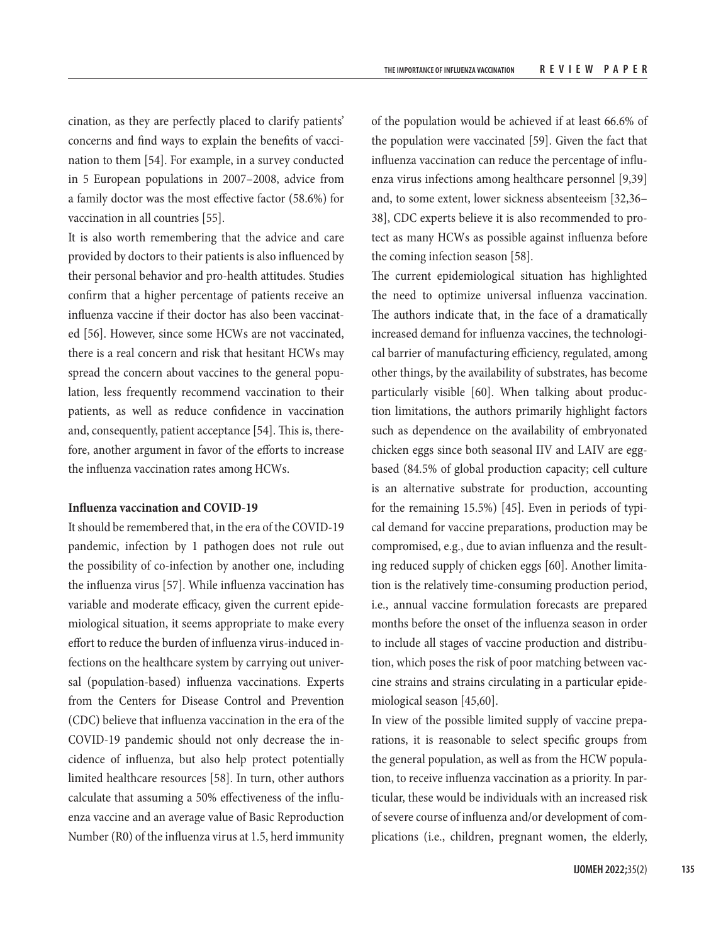cination, as they are perfectly placed to clarify patients' concerns and find ways to explain the benefits of vaccination to them [54]. For example, in a survey conducted in 5 European populations in 2007–2008, advice from a family doctor was the most effective factor (58.6%) for vaccination in all countries [55].

It is also worth remembering that the advice and care provided by doctors to their patients is also influenced by their personal behavior and pro-health attitudes. Studies confirm that a higher percentage of patients receive an influenza vaccine if their doctor has also been vaccinated [56]. However, since some HCWs are not vaccinated, there is a real concern and risk that hesitant HCWs may spread the concern about vaccines to the general population, less frequently recommend vaccination to their patients, as well as reduce confidence in vaccination and, consequently, patient acceptance [54]. This is, therefore, another argument in favor of the efforts to increase the influenza vaccination rates among HCWs.

# **Influenza vaccination and COVID-19**

It should be remembered that, in the era of the COVID-19 pandemic, infection by 1 pathogen does not rule out the possibility of co-infection by another one, including the influenza virus [57]. While influenza vaccination has variable and moderate efficacy, given the current epidemiological situation, it seems appropriate to make every effort to reduce the burden of influenza virus-induced infections on the healthcare system by carrying out universal (population-based) influenza vaccinations. Experts from the Centers for Disease Control and Prevention (CDC) believe that influenza vaccination in the era of the COVID-19 pandemic should not only decrease the incidence of influenza, but also help protect potentially limited healthcare resources [58]. In turn, other authors calculate that assuming a 50% effectiveness of the influenza vaccine and an average value of Basic Reproduction Number (R0) of the influenza virus at 1.5, herd immunity

of the population would be achieved if at least 66.6% of the population were vaccinated [59]. Given the fact that influenza vaccination can reduce the percentage of influenza virus infections among healthcare personnel [9,39] and, to some extent, lower sickness absenteeism [32,36– 38], CDC experts believe it is also recommended to protect as many HCWs as possible against influenza before the coming infection season [58].

The current epidemiological situation has highlighted the need to optimize universal influenza vaccination. The authors indicate that, in the face of a dramatically increased demand for influenza vaccines, the technological barrier of manufacturing efficiency, regulated, among other things, by the availability of substrates, has become particularly visible [60]. When talking about production limitations, the authors primarily highlight factors such as dependence on the availability of embryonated chicken eggs since both seasonal IIV and LAIV are eggbased (84.5% of global production capacity; cell culture is an alternative substrate for production, accounting for the remaining 15.5%) [45]. Even in periods of typical demand for vaccine preparations, production may be compromised, e.g., due to avian influenza and the resulting reduced supply of chicken eggs [60]. Another limitation is the relatively time-consuming production period, i.e., annual vaccine formulation forecasts are prepared months before the onset of the influenza season in order to include all stages of vaccine production and distribution, which poses the risk of poor matching between vaccine strains and strains circulating in a particular epidemiological season [45,60].

In view of the possible limited supply of vaccine preparations, it is reasonable to select specific groups from the general population, as well as from the HCW population, to receive influenza vaccination as a priority. In particular, these would be individuals with an increased risk of severe course of influenza and/or development of complications (i.e., children, pregnant women, the elderly,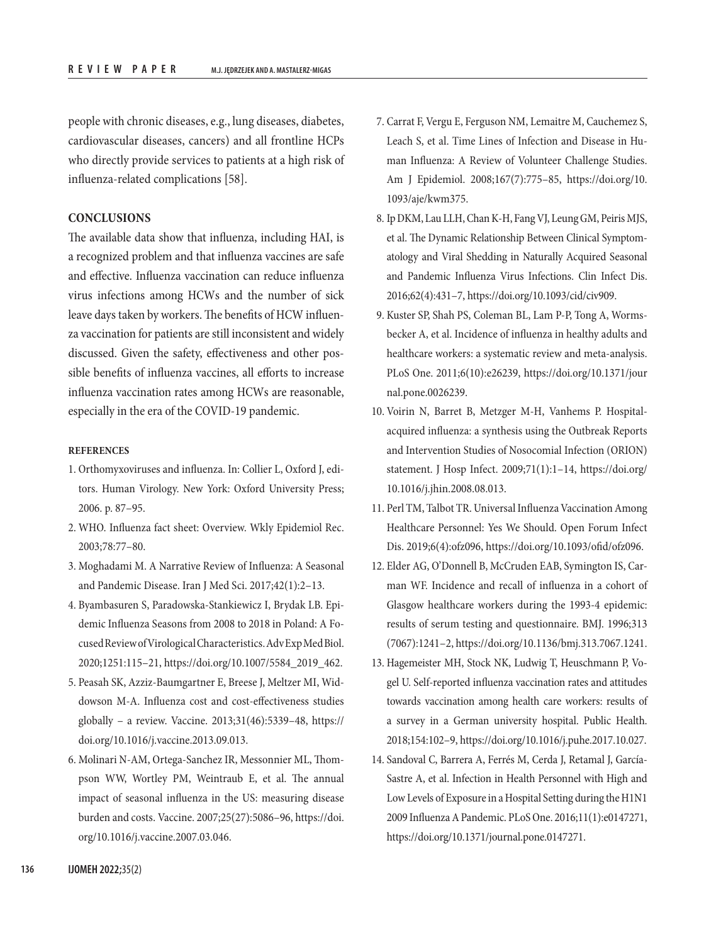people with chronic diseases, e.g., lung diseases, diabetes, cardiovascular diseases, cancers) and all frontline HCPs who directly provide services to patients at a high risk of influenza-related complications [58].

## **CONCLUSIONS**

The available data show that influenza, including HAI, is a recognized problem and that influenza vaccines are safe and effective. Influenza vaccination can reduce influenza virus infections among HCWs and the number of sick leave days taken by workers. The benefits of HCW influenza vaccination for patients are still inconsistent and widely discussed. Given the safety, effectiveness and other possible benefits of influenza vaccines, all efforts to increase influenza vaccination rates among HCWs are reasonable, especially in the era of the COVID-19 pandemic.

# **REFERENCES**

- 1. Orthomyxoviruses and influenza. In: Collier L, Oxford J, editors. Human Virology. New York: Oxford University Press; 2006. p. 87–95.
- 2. WHO. Influenza fact sheet: Overview. Wkly Epidemiol Rec. 2003;78:77–80.
- 3. Moghadami M. A Narrative Review of Influenza: A Seasonal and Pandemic Disease. Iran J Med Sci. 2017;42(1):2–13.
- 4. Byambasuren S, Paradowska-Stankiewicz I, Brydak LB. Epidemic Influenza Seasons from 2008 to 2018 in Poland: A Focused Review of Virological Characteristics. Adv Exp Med Biol. 2020;1251:115–21, [https://doi.org/10.1007/5584\\_2019\\_462.](https://doi.org/10.1007/5584_2019_462)
- 5. Peasah SK, Azziz-Baumgartner E, Breese J, Meltzer MI, Widdowson M-A. Influenza cost and cost-effectiveness studies globally – a review. Vaccine. 2013;31(46):5339–48, [https://](https://doi.org/10.1016/j.vaccine.2013.09.013) [doi.org/10.1016/j.vaccine.2013.09.013](https://doi.org/10.1016/j.vaccine.2013.09.013).
- 6. Molinari N-AM, Ortega-Sanchez IR, Messonnier ML, Thompson WW, Wortley PM, Weintraub E, et al. The annual impact of seasonal influenza in the US: measuring disease burden and costs. Vaccine. 2007;25(27):5086–96, [https://doi.](https://doi.org/10.1016/j.vaccine.2007.03.046) [org/10.1016/j.vaccine.2007.03.046](https://doi.org/10.1016/j.vaccine.2007.03.046).
- 7. Carrat F, Vergu E, Ferguson NM, Lemaitre M, Cauchemez S, Leach S, et al. Time Lines of Infection and Disease in Human Influenza: A Review of Volunteer Challenge Studies. Am J Epidemiol. 2008;167(7):775–85, [https://doi.org/10.](https://doi.org/10.1093/aje/kwm375) [1093/aje/kwm375.](https://doi.org/10.1093/aje/kwm375)
- 8. Ip DKM, Lau LLH, Chan K-H, Fang VJ, Leung GM, Peiris MJS, et al. The Dynamic Relationship Between Clinical Symptomatology and Viral Shedding in Naturally Acquired Seasonal and Pandemic Influenza Virus Infections. Clin Infect Dis. 2016;62(4):431–7, <https://doi.org/10.1093/cid/civ909>.
- 9. Kuster SP, Shah PS, Coleman BL, Lam P-P, Tong A, Wormsbecker A, et al. Incidence of influenza in healthy adults and healthcare workers: a systematic review and meta-analysis. PLoS One. 2011;6(10):e26239, [https://doi.org/10.1371/jour](https://doi.org/10.1371/journal.pone.0026239) [nal.pone.0026239.](https://doi.org/10.1371/journal.pone.0026239)
- 10. Voirin N, Barret B, Metzger M-H, Vanhems P. Hospitalacquired influenza: a synthesis using the Outbreak Reports and Intervention Studies of Nosocomial Infection (ORION) statement. J Hosp Infect. 2009;71(1):1–14, [https://doi.org/](https://doi.org/10.1016/j.jhin.2008.08.013) [10.1016/j.jhin.2008.08.013](https://doi.org/10.1016/j.jhin.2008.08.013).
- 11. Perl TM, Talbot TR. Universal Influenza Vaccination Among Healthcare Personnel: Yes We Should. Open Forum Infect Dis. 2019;6(4):ofz096,<https://doi.org/10.1093/ofid/ofz096>.
- 12. Elder AG, O'Donnell B, McCruden EAB, Symington IS, Carman WF. Incidence and recall of influenza in a cohort of Glasgow healthcare workers during the 1993-4 epidemic: results of serum testing and questionnaire. BMJ. 1996;313 (7067):1241–2,<https://doi.org/10.1136/bmj.313.7067.1241>.
- 13. Hagemeister MH, Stock NK, Ludwig T, Heuschmann P, Vogel U. Self-reported influenza vaccination rates and attitudes towards vaccination among health care workers: results of a survey in a German university hospital. Public Health. 2018;154:102–9, [https://doi.org/10.1016/j.puhe.2017.10.027.](https://doi.org/10.1016/j.puhe.2017.10.027)
- 14. Sandoval C, Barrera A, Ferrés M, Cerda J, Retamal J, García-Sastre A, et al. Infection in Health Personnel with High and Low Levels of Exposure in a Hospital Setting during the H1N1 2009 Influenza A Pandemic. PLoS One. 2016;11(1):e0147271, <https://doi.org/10.1371/journal.pone.0147271>.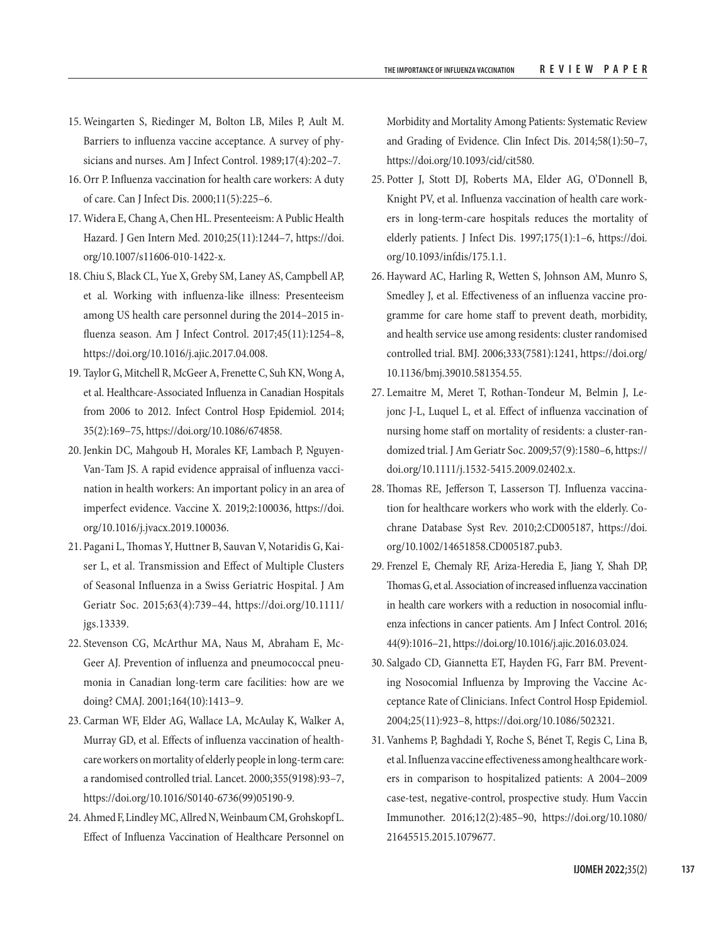- 15. Weingarten S, Riedinger M, Bolton LB, Miles P, Ault M. Barriers to influenza vaccine acceptance. A survey of physicians and nurses. Am J Infect Control. 1989;17(4):202–7.
- 16. Orr P. Influenza vaccination for health care workers: A duty of care. Can J Infect Dis. 2000;11(5):225–6.
- 17. Widera E, Chang A, Chen HL. Presenteeism: A Public Health Hazard. J Gen Intern Med. 2010;25(11):1244–7, [https://doi.](https://doi.org/10.1007/s11606-010-1422-x) [org/10.1007/s11606-010-1422-x.](https://doi.org/10.1007/s11606-010-1422-x)
- 18. Chiu S, Black CL, Yue X, Greby SM, Laney AS, Campbell AP, et al. Working with influenza-like illness: Presenteeism among US health care personnel during the 2014–2015 influenza season. Am J Infect Control. 2017;45(11):1254–8, [https://doi.org/10.1016/j.ajic.2017.04.008.](https://doi.org/10.1016/j.ajic.2017.04.008)
- 19. Taylor G, Mitchell R, McGeer A, Frenette C, Suh KN, Wong A, et al. Healthcare-Associated Influenza in Canadian Hospitals from 2006 to 2012. Infect Control Hosp Epidemiol. 2014; 35(2):169–75, [https://doi.org/10.1086/674858.](https://doi.org/10.1086/674858)
- 20. Jenkin DC, Mahgoub H, Morales KF, Lambach P, Nguyen-Van-Tam JS. A rapid evidence appraisal of influenza vaccination in health workers: An important policy in an area of imperfect evidence. Vaccine X. 2019;2:100036, [https://doi.](https://doi.org/10.1016/j.jvacx.2019.100036) [org/10.1016/j.jvacx.2019.100036](https://doi.org/10.1016/j.jvacx.2019.100036).
- 21. Pagani L, Thomas Y, Huttner B, Sauvan V, Notaridis G, Kaiser L, et al. Transmission and Effect of Multiple Clusters of Seasonal Influenza in a Swiss Geriatric Hospital. J Am Geriatr Soc. 2015;63(4):739–44, [https://doi.org/10.1111/](https://doi.org/10.1111/jgs.13339) [jgs.13339](https://doi.org/10.1111/jgs.13339).
- 22. Stevenson CG, McArthur MA, Naus M, Abraham E, Mc-Geer AJ. Prevention of influenza and pneumococcal pneumonia in Canadian long-term care facilities: how are we doing? CMAJ. 2001;164(10):1413–9.
- 23. Carman WF, Elder AG, Wallace LA, McAulay K, Walker A, Murray GD, et al. Effects of influenza vaccination of healthcare workers on mortality of elderly people in long-term care: a randomised controlled trial. Lancet. 2000;355(9198):93–7, [https://doi.org/10.1016/S0140-6736\(99\)05190-9](https://doi.org/10.1016/S0140-6736(99)05190-9).
- 24. Ahmed F, Lindley MC, Allred N, Weinbaum CM, Grohskopf L. Effect of Influenza Vaccination of Healthcare Personnel on

Morbidity and Mortality Among Patients: Systematic Review and Grading of Evidence. Clin Infect Dis. 2014;58(1):50–7, <https://doi.org/10.1093/cid/cit580>.

- 25. Potter J, Stott DJ, Roberts MA, Elder AG, O'Donnell B, Knight PV, et al. Influenza vaccination of health care workers in long-term-care hospitals reduces the mortality of elderly patients. J Infect Dis. 1997;175(1):1–6, [https://doi.](https://doi.org/10.1093/infdis/175.1.1) [org/10.1093/infdis/175.1.1](https://doi.org/10.1093/infdis/175.1.1).
- 26. Hayward AC, Harling R, Wetten S, Johnson AM, Munro S, Smedley J, et al. Effectiveness of an influenza vaccine programme for care home staff to prevent death, morbidity, and health service use among residents: cluster randomised controlled trial. BMJ. 2006;333(7581):1241, [https://doi.org/](https://doi.org/10.1136/bmj.39010.581354.55) [10.1136/bmj.39010.581354.55](https://doi.org/10.1136/bmj.39010.581354.55).
- 27. Lemaitre M, Meret T, Rothan-Tondeur M, Belmin J, Lejonc J-L, Luquel L, et al. Effect of influenza vaccination of nursing home staff on mortality of residents: a cluster-randomized trial. J Am Geriatr Soc. 2009;57(9):1580–6, [https://](https://doi.org/10.1111/j.1532-5415.2009.02402.x) [doi.org/10.1111/j.1532-5415.2009.02402.x.](https://doi.org/10.1111/j.1532-5415.2009.02402.x)
- 28. Thomas RE, Jefferson T, Lasserson TJ. Influenza vaccination for healthcare workers who work with the elderly. Cochrane Database Syst Rev. 2010;2:CD005187, [https://doi.](https://doi.org/10.1002/14651858.CD005187.pub3) [org/10.1002/14651858.CD005187.pub3.](https://doi.org/10.1002/14651858.CD005187.pub3)
- 29. Frenzel E, Chemaly RF, Ariza-Heredia E, Jiang Y, Shah DP, Thomas G, et al. Association of increased influenza vaccination in health care workers with a reduction in nosocomial influenza infections in cancer patients. Am J Infect Control. 2016; 44(9):1016–21, [https://doi.org/10.1016/j.ajic.2016.03.024.](https://doi.org/10.1016/j.ajic.2016.03.024)
- 30. Salgado CD, Giannetta ET, Hayden FG, Farr BM. Preventing Nosocomial Influenza by Improving the Vaccine Acceptance Rate of Clinicians. Infect Control Hosp Epidemiol. 2004;25(11):923–8,<https://doi.org/10.1086/502321>.
- 31. Vanhems P, Baghdadi Y, Roche S, Bénet T, Regis C, Lina B, et al. Influenza vaccine effectiveness among healthcare workers in comparison to hospitalized patients: A 2004–2009 case-test, negative-control, prospective study. Hum Vaccin Immunother. 2016;12(2):485–90, [https://doi.org/10.1080/](https://doi.org/10.1080/21645515.2015.1079677)  [21645515.2015.1079677](https://doi.org/10.1080/21645515.2015.1079677).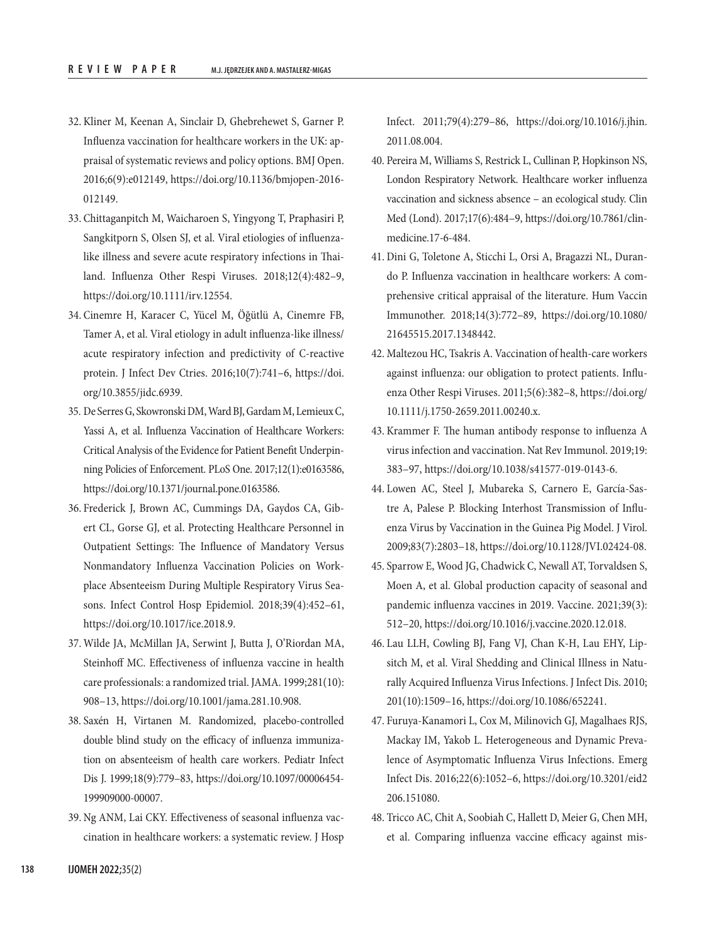- 32. Kliner M, Keenan A, Sinclair D, Ghebrehewet S, Garner P. Influenza vaccination for healthcare workers in the UK: appraisal of systematic reviews and policy options. BMJ Open. 2016;6(9):e012149, [https://doi.org/10.1136/bmjopen-2016-](https://doi.org/10.1136/bmjopen-2016-012149) [012149](https://doi.org/10.1136/bmjopen-2016-012149).
- 33. Chittaganpitch M, Waicharoen S, Yingyong T, Praphasiri P, Sangkitporn S, Olsen SJ, et al. Viral etiologies of influenzalike illness and severe acute respiratory infections in Thailand. Influenza Other Respi Viruses. 2018;12(4):482–9, <https://doi.org/10.1111/irv.12554>.
- 34. Cinemre H, Karacer C, Yücel M, Öğütlü A, Cinemre FB, Tamer A, et al. Viral etiology in adult influenza-like illness/ acute respiratory infection and predictivity of C-reactive protein. J Infect Dev Ctries. 2016;10(7):741–6, [https://doi.](https://doi.org/10.3855/jidc.6939) [org/10.3855/jidc.6939.](https://doi.org/10.3855/jidc.6939)
- 35. De Serres G, Skowronski DM, Ward BJ, Gardam M, Lemieux C, Yassi A, et al. Influenza Vaccination of Healthcare Workers: Critical Analysis of the Evidence for Patient Benefit Underpinning Policies of Enforcement. PLoS One. 2017;12(1):e0163586, [https://doi.org/10.1371/journal.pone.0163586.](https://doi.org/10.1371/journal.pone.0163586)
- 36. Frederick J, Brown AC, Cummings DA, Gaydos CA, Gibert CL, Gorse GJ, et al. Protecting Healthcare Personnel in Outpatient Settings: The Influence of Mandatory Versus Nonmandatory Influenza Vaccination Policies on Workplace Absenteeism During Multiple Respiratory Virus Seasons. Infect Control Hosp Epidemiol. 2018;39(4):452–61, [https://doi.org/10.1017/ice.2018.9.](https://doi.org/10.1017/ice.2018.9)
- 37. Wilde JA, McMillan JA, Serwint J, Butta J, O'Riordan MA, Steinhoff MC. Effectiveness of influenza vaccine in health care professionals: a randomized trial. JAMA. 1999;281(10): 908–13, [https://doi.org/10.1001/jama.281.10.908.](https://doi.org/10.1001/jama.281.10.908)
- 38. Saxén H, Virtanen M. Randomized, placebo-controlled double blind study on the efficacy of influenza immunization on absenteeism of health care workers. Pediatr Infect Dis J. 1999;18(9):779–83, [https://doi.org/10.1097/00006454-](https://doi.org/10.1097/00006454-199909000-00007) [199909000-00007](https://doi.org/10.1097/00006454-199909000-00007).
- 39. Ng ANM, Lai CKY. Effectiveness of seasonal influenza vaccination in healthcare workers: a systematic review. J Hosp

Infect. 2011;79(4):279–86, [https://doi.org/10.1016/j.jhin.](https://doi.org/10.1016/j.jhin.2011.08.004) [2011.08.004](https://doi.org/10.1016/j.jhin.2011.08.004).

- 40. Pereira M, Williams S, Restrick L, Cullinan P, Hopkinson NS, London Respiratory Network. Healthcare worker influenza vaccination and sickness absence – an ecological study. Clin Med (Lond). 2017;17(6):484–9, [https://doi.org/10.7861/clin](https://doi.org/10.7861/clinmedicine.17-6-484)[medicine.17-6-484](https://doi.org/10.7861/clinmedicine.17-6-484).
- 41. Dini G, Toletone A, Sticchi L, Orsi A, Bragazzi NL, Durando P. Influenza vaccination in healthcare workers: A comprehensive critical appraisal of the literature. Hum Vaccin Immunother. 2018;14(3):772–89, [https://doi.org/10.1080/](https://doi.org/10.1080/21645515.2017.1348442) [21645515.2017.1348442](https://doi.org/10.1080/21645515.2017.1348442).
- 42. Maltezou HC, Tsakris A. Vaccination of health-care workers against influenza: our obligation to protect patients. Influenza Other Respi Viruses. 2011;5(6):382–8, [https://doi.org/](https://doi.org/10.1111/j.1750-2659.2011.00240.x) [10.1111/j.1750-2659.2011.00240.x.](https://doi.org/10.1111/j.1750-2659.2011.00240.x)
- 43. Krammer F. The human antibody response to influenza A virus infection and vaccination. Nat Rev Immunol. 2019;19: 383–97, [https://doi.org/10.1038/s41577-019-0143-6.](https://doi.org/10.1038/s41577-019-0143-6)
- 44. Lowen AC, Steel J, Mubareka S, Carnero E, García-Sastre A, Palese P. Blocking Interhost Transmission of Influenza Virus by Vaccination in the Guinea Pig Model. J Virol. 2009;83(7):2803–18, [https://doi.org/10.1128/JVI.02424-08.](https://doi.org/10.1128/JVI.02424-08)
- 45. Sparrow E, Wood JG, Chadwick C, Newall AT, Torvaldsen S, Moen A, et al. Global production capacity of seasonal and pandemic influenza vaccines in 2019. Vaccine. 2021;39(3): 512–20,<https://doi.org/10.1016/j.vaccine.2020.12.018>.
- 46. Lau LLH, Cowling BJ, Fang VJ, Chan K-H, Lau EHY, Lipsitch M, et al. Viral Shedding and Clinical Illness in Naturally Acquired Influenza Virus Infections. J Infect Dis. 2010; 201(10):1509–16, [https://doi.org/10.1086/652241.](https://doi.org/10.1086/652241)
- 47. Furuya-Kanamori L, Cox M, Milinovich GJ, Magalhaes RJS, Mackay IM, Yakob L. Heterogeneous and Dynamic Prevalence of Asymptomatic Influenza Virus Infections. Emerg Infect Dis. 2016;22(6):1052–6, [https://doi.org/10.3201/eid2](https://doi.org/10.3201/eid2206.151080) [206.151080.](https://doi.org/10.3201/eid2206.151080)
- 48. Tricco AC, Chit A, Soobiah C, Hallett D, Meier G, Chen MH, et al. Comparing influenza vaccine efficacy against mis-